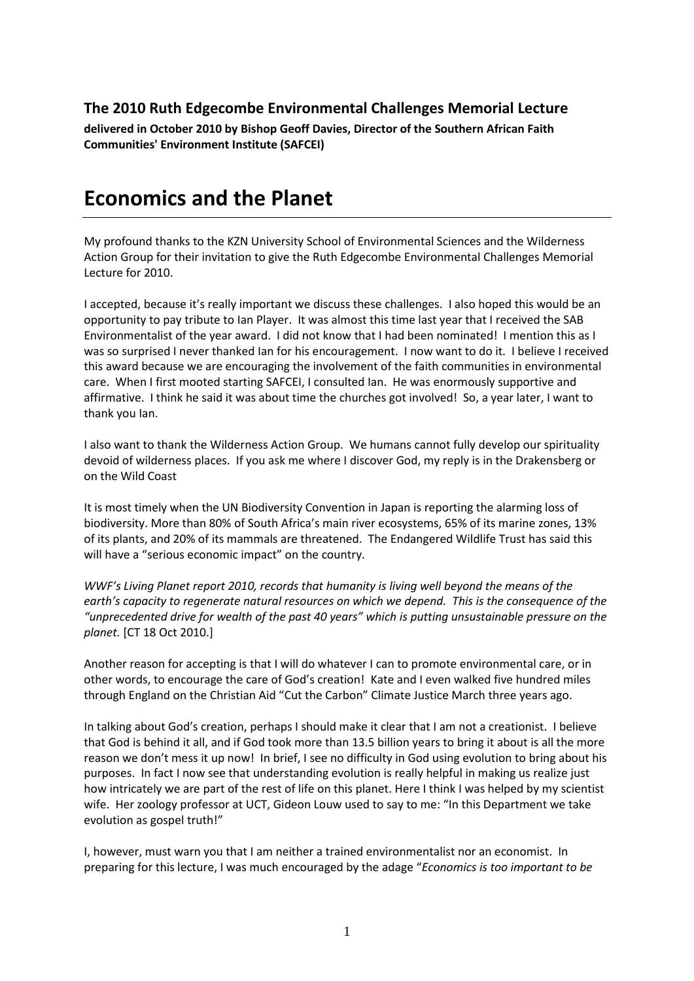# **The 2010 Ruth Edgecombe Environmental Challenges Memorial Lecture**

**delivered in October 2010 by Bishop Geoff Davies, Director of the Southern African Faith Communities' Environment Institute (SAFCEI)** 

# **Economics and the Planet**

My profound thanks to the KZN University School of Environmental Sciences and the Wilderness Action Group for their invitation to give the Ruth Edgecombe Environmental Challenges Memorial Lecture for 2010.

I accepted, because it's really important we discuss these challenges. I also hoped this would be an opportunity to pay tribute to Ian Player. It was almost this time last year that I received the SAB Environmentalist of the year award. I did not know that I had been nominated! I mention this as I was so surprised I never thanked Ian for his encouragement. I now want to do it. I believe I received this award because we are encouraging the involvement of the faith communities in environmental care. When I first mooted starting SAFCEI, I consulted Ian. He was enormously supportive and affirmative. I think he said it was about time the churches got involved! So, a year later, I want to thank you Ian.

I also want to thank the Wilderness Action Group. We humans cannot fully develop our spirituality devoid of wilderness places. If you ask me where I discover God, my reply is in the Drakensberg or on the Wild Coast

It is most timely when the UN Biodiversity Convention in Japan is reporting the alarming loss of biodiversity. More than 80% of South Africa's main river ecosystems, 65% of its marine zones, 13% of its plants, and 20% of its mammals are threatened. The Endangered Wildlife Trust has said this will have a "serious economic impact" on the country.

*WWF's Living Planet report 2010, records that humanity is living well beyond the means of the earth's capacity to regenerate natural resources on which we depend. This is the consequence of the "unprecedented drive for wealth of the past 40 years" which is putting unsustainable pressure on the planet.* [CT 18 Oct 2010.]

Another reason for accepting is that I will do whatever I can to promote environmental care, or in other words, to encourage the care of God's creation! Kate and I even walked five hundred miles through England on the Christian Aid "Cut the Carbon" Climate Justice March three years ago.

In talking about God's creation, perhaps I should make it clear that I am not a creationist. I believe that God is behind it all, and if God took more than 13.5 billion years to bring it about is all the more reason we don't mess it up now! In brief, I see no difficulty in God using evolution to bring about his purposes. In fact I now see that understanding evolution is really helpful in making us realize just how intricately we are part of the rest of life on this planet. Here I think I was helped by my scientist wife. Her zoology professor at UCT, Gideon Louw used to say to me: "In this Department we take evolution as gospel truth!"

I, however, must warn you that I am neither a trained environmentalist nor an economist. In preparing for this lecture, I was much encouraged by the adage "*Economics is too important to be*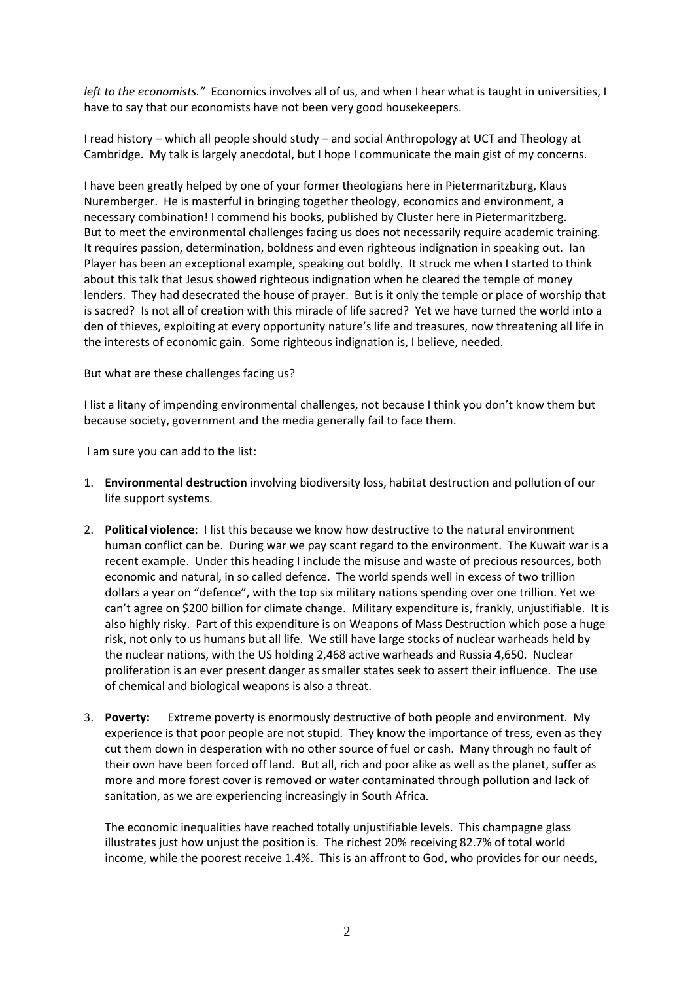*left to the economists."* Economics involves all of us, and when I hear what is taught in universities, I have to say that our economists have not been very good housekeepers.

I read history – which all people should study – and social Anthropology at UCT and Theology at Cambridge. My talk is largely anecdotal, but I hope I communicate the main gist of my concerns.

I have been greatly helped by one of your former theologians here in Pietermaritzburg, Klaus Nuremberger. He is masterful in bringing together theology, economics and environment, a necessary combination! I commend his books, published by Cluster here in Pietermaritzberg. But to meet the environmental challenges facing us does not necessarily require academic training. It requires passion, determination, boldness and even righteous indignation in speaking out. Ian Player has been an exceptional example, speaking out boldly. It struck me when I started to think about this talk that Jesus showed righteous indignation when he cleared the temple of money lenders. They had desecrated the house of prayer. But is it only the temple or place of worship that is sacred? Is not all of creation with this miracle of life sacred? Yet we have turned the world into a den of thieves, exploiting at every opportunity nature's life and treasures, now threatening all life in the interests of economic gain. Some righteous indignation is, I believe, needed.

But what are these challenges facing us?

I list a litany of impending environmental challenges, not because I think you don't know them but because society, government and the media generally fail to face them.

I am sure you can add to the list:

- 1. **Environmental destruction** involving biodiversity loss, habitat destruction and pollution of our life support systems.
- 2. **Political violence**: I list this because we know how destructive to the natural environment human conflict can be. During war we pay scant regard to the environment. The Kuwait war is a recent example. Under this heading I include the misuse and waste of precious resources, both economic and natural, in so called defence. The world spends well in excess of two trillion dollars a year on "defence", with the top six military nations spending over one trillion. Yet we can't agree on \$200 billion for climate change. Military expenditure is, frankly, unjustifiable. It is also highly risky. Part of this expenditure is on Weapons of Mass Destruction which pose a huge risk, not only to us humans but all life. We still have large stocks of nuclear warheads held by the nuclear nations, with the US holding 2,468 active warheads and Russia 4,650. Nuclear proliferation is an ever present danger as smaller states seek to assert their influence. The use of chemical and biological weapons is also a threat.
- 3. **Poverty:** Extreme poverty is enormously destructive of both people and environment. My experience is that poor people are not stupid. They know the importance of tress, even as they cut them down in desperation with no other source of fuel or cash. Many through no fault of their own have been forced off land. But all, rich and poor alike as well as the planet, suffer as more and more forest cover is removed or water contaminated through pollution and lack of sanitation, as we are experiencing increasingly in South Africa.

The economic inequalities have reached totally unjustifiable levels. This champagne glass illustrates just how unjust the position is. The richest 20% receiving 82.7% of total world income, while the poorest receive 1.4%. This is an affront to God, who provides for our needs,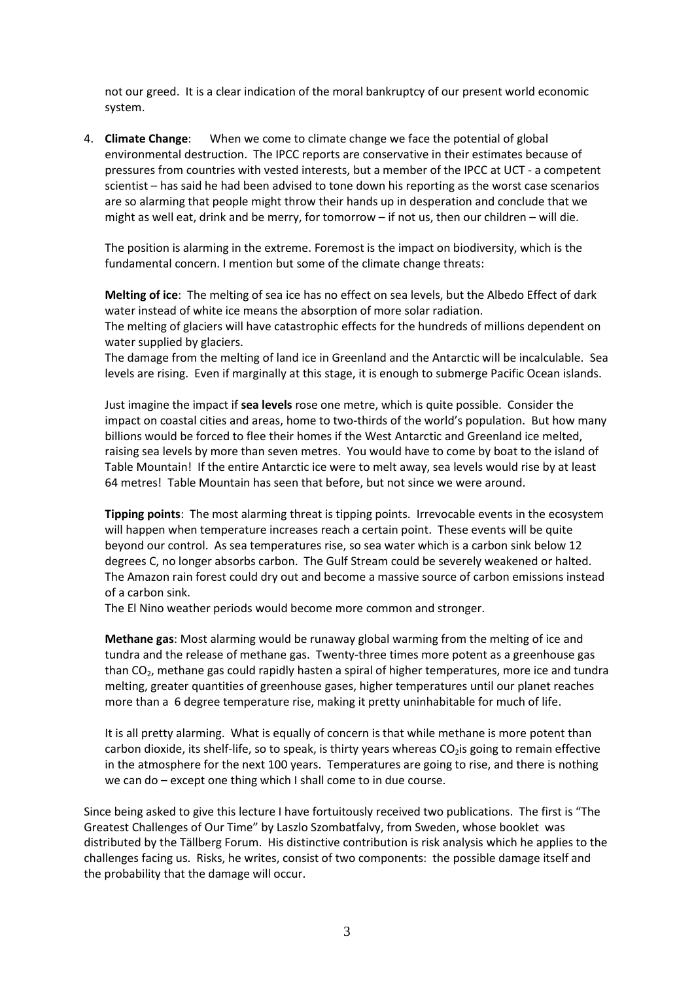not our greed. It is a clear indication of the moral bankruptcy of our present world economic system.

4. **Climate Change**: When we come to climate change we face the potential of global environmental destruction. The IPCC reports are conservative in their estimates because of pressures from countries with vested interests, but a member of the IPCC at UCT - a competent scientist – has said he had been advised to tone down his reporting as the worst case scenarios are so alarming that people might throw their hands up in desperation and conclude that we might as well eat, drink and be merry, for tomorrow – if not us, then our children – will die.

The position is alarming in the extreme. Foremost is the impact on biodiversity, which is the fundamental concern. I mention but some of the climate change threats:

**Melting of ice**: The melting of sea ice has no effect on sea levels, but the Albedo Effect of dark water instead of white ice means the absorption of more solar radiation. The melting of glaciers will have catastrophic effects for the hundreds of millions dependent on water supplied by glaciers.

The damage from the melting of land ice in Greenland and the Antarctic will be incalculable. Sea levels are rising. Even if marginally at this stage, it is enough to submerge Pacific Ocean islands.

Just imagine the impact if **sea levels** rose one metre, which is quite possible. Consider the impact on coastal cities and areas, home to two-thirds of the world's population. But how many billions would be forced to flee their homes if the West Antarctic and Greenland ice melted, raising sea levels by more than seven metres. You would have to come by boat to the island of Table Mountain! If the entire Antarctic ice were to melt away, sea levels would rise by at least 64 metres! Table Mountain has seen that before, but not since we were around.

**Tipping points**: The most alarming threat is tipping points. Irrevocable events in the ecosystem will happen when temperature increases reach a certain point. These events will be quite beyond our control. As sea temperatures rise, so sea water which is a carbon sink below 12 degrees C, no longer absorbs carbon. The Gulf Stream could be severely weakened or halted. The Amazon rain forest could dry out and become a massive source of carbon emissions instead of a carbon sink.

The El Nino weather periods would become more common and stronger.

**Methane gas**: Most alarming would be runaway global warming from the melting of ice and tundra and the release of methane gas. Twenty-three times more potent as a greenhouse gas than  $CO<sub>2</sub>$ , methane gas could rapidly hasten a spiral of higher temperatures, more ice and tundra melting, greater quantities of greenhouse gases, higher temperatures until our planet reaches more than a 6 degree temperature rise, making it pretty uninhabitable for much of life.

It is all pretty alarming. What is equally of concern is that while methane is more potent than carbon dioxide, its shelf-life, so to speak, is thirty years whereas  $CO<sub>2</sub>$  is going to remain effective in the atmosphere for the next 100 years. Temperatures are going to rise, and there is nothing we can do – except one thing which I shall come to in due course.

Since being asked to give this lecture I have fortuitously received two publications. The first is "The Greatest Challenges of Our Time" by Laszlo Szombatfalvy, from Sweden, whose booklet was distributed by the Tällberg Forum. His distinctive contribution is risk analysis which he applies to the challenges facing us. Risks, he writes, consist of two components: the possible damage itself and the probability that the damage will occur.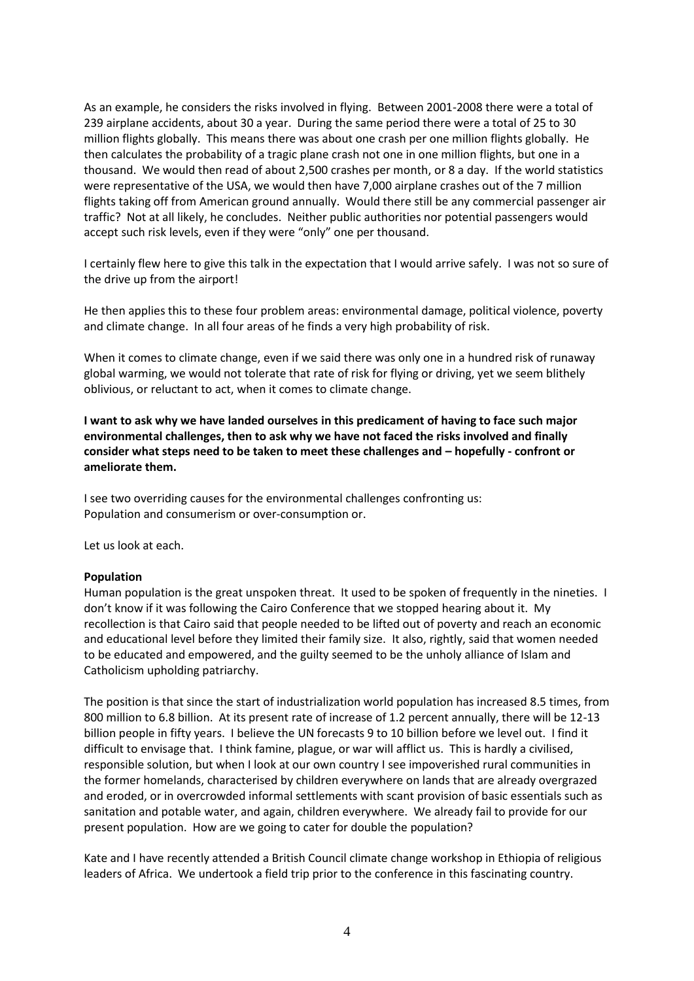As an example, he considers the risks involved in flying. Between 2001-2008 there were a total of 239 airplane accidents, about 30 a year. During the same period there were a total of 25 to 30 million flights globally. This means there was about one crash per one million flights globally. He then calculates the probability of a tragic plane crash not one in one million flights, but one in a thousand. We would then read of about 2,500 crashes per month, or 8 a day. If the world statistics were representative of the USA, we would then have 7,000 airplane crashes out of the 7 million flights taking off from American ground annually. Would there still be any commercial passenger air traffic? Not at all likely, he concludes. Neither public authorities nor potential passengers would accept such risk levels, even if they were "only" one per thousand.

I certainly flew here to give this talk in the expectation that I would arrive safely. I was not so sure of the drive up from the airport!

He then applies this to these four problem areas: environmental damage, political violence, poverty and climate change. In all four areas of he finds a very high probability of risk.

When it comes to climate change, even if we said there was only one in a hundred risk of runaway global warming, we would not tolerate that rate of risk for flying or driving, yet we seem blithely oblivious, or reluctant to act, when it comes to climate change.

**I want to ask why we have landed ourselves in this predicament of having to face such major environmental challenges, then to ask why we have not faced the risks involved and finally consider what steps need to be taken to meet these challenges and – hopefully - confront or ameliorate them.** 

I see two overriding causes for the environmental challenges confronting us: Population and consumerism or over-consumption or.

Let us look at each.

# **Population**

Human population is the great unspoken threat. It used to be spoken of frequently in the nineties. I don't know if it was following the Cairo Conference that we stopped hearing about it. My recollection is that Cairo said that people needed to be lifted out of poverty and reach an economic and educational level before they limited their family size. It also, rightly, said that women needed to be educated and empowered, and the guilty seemed to be the unholy alliance of Islam and Catholicism upholding patriarchy.

The position is that since the start of industrialization world population has increased 8.5 times, from 800 million to 6.8 billion. At its present rate of increase of 1.2 percent annually, there will be 12-13 billion people in fifty years. I believe the UN forecasts 9 to 10 billion before we level out. I find it difficult to envisage that. I think famine, plague, or war will afflict us. This is hardly a civilised, responsible solution, but when I look at our own country I see impoverished rural communities in the former homelands, characterised by children everywhere on lands that are already overgrazed and eroded, or in overcrowded informal settlements with scant provision of basic essentials such as sanitation and potable water, and again, children everywhere. We already fail to provide for our present population. How are we going to cater for double the population?

Kate and I have recently attended a British Council climate change workshop in Ethiopia of religious leaders of Africa. We undertook a field trip prior to the conference in this fascinating country.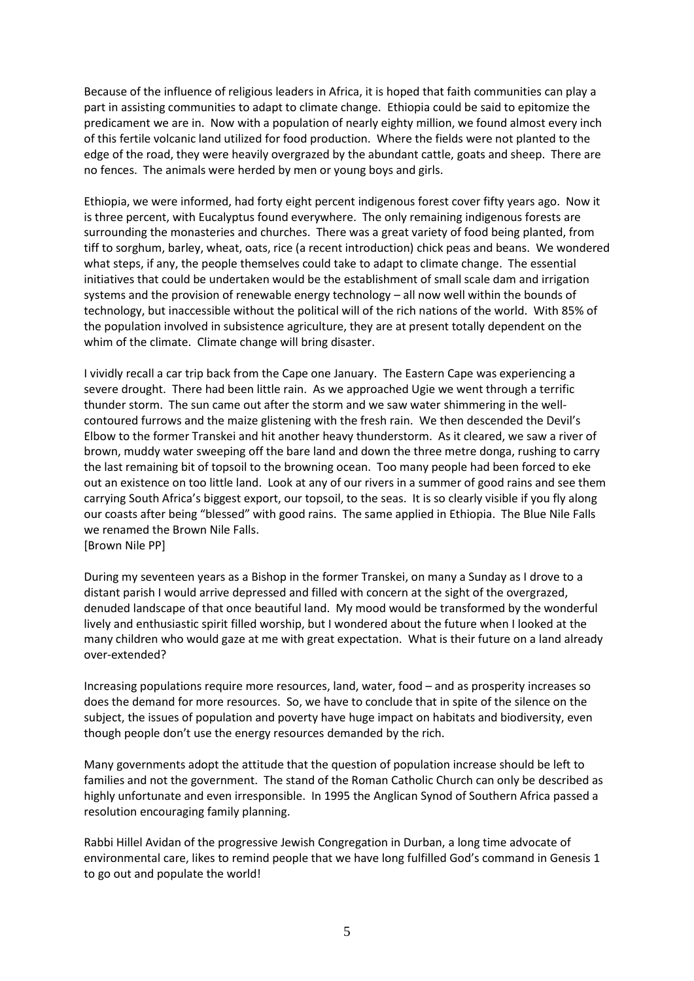Because of the influence of religious leaders in Africa, it is hoped that faith communities can play a part in assisting communities to adapt to climate change. Ethiopia could be said to epitomize the predicament we are in. Now with a population of nearly eighty million, we found almost every inch of this fertile volcanic land utilized for food production. Where the fields were not planted to the edge of the road, they were heavily overgrazed by the abundant cattle, goats and sheep. There are no fences. The animals were herded by men or young boys and girls.

Ethiopia, we were informed, had forty eight percent indigenous forest cover fifty years ago. Now it is three percent, with Eucalyptus found everywhere. The only remaining indigenous forests are surrounding the monasteries and churches. There was a great variety of food being planted, from tiff to sorghum, barley, wheat, oats, rice (a recent introduction) chick peas and beans. We wondered what steps, if any, the people themselves could take to adapt to climate change. The essential initiatives that could be undertaken would be the establishment of small scale dam and irrigation systems and the provision of renewable energy technology – all now well within the bounds of technology, but inaccessible without the political will of the rich nations of the world. With 85% of the population involved in subsistence agriculture, they are at present totally dependent on the whim of the climate. Climate change will bring disaster.

I vividly recall a car trip back from the Cape one January. The Eastern Cape was experiencing a severe drought. There had been little rain. As we approached Ugie we went through a terrific thunder storm. The sun came out after the storm and we saw water shimmering in the wellcontoured furrows and the maize glistening with the fresh rain. We then descended the Devil's Elbow to the former Transkei and hit another heavy thunderstorm. As it cleared, we saw a river of brown, muddy water sweeping off the bare land and down the three metre donga, rushing to carry the last remaining bit of topsoil to the browning ocean. Too many people had been forced to eke out an existence on too little land. Look at any of our rivers in a summer of good rains and see them carrying South Africa's biggest export, our topsoil, to the seas. It is so clearly visible if you fly along our coasts after being "blessed" with good rains. The same applied in Ethiopia. The Blue Nile Falls we renamed the Brown Nile Falls. [Brown Nile PP]

During my seventeen years as a Bishop in the former Transkei, on many a Sunday as I drove to a distant parish I would arrive depressed and filled with concern at the sight of the overgrazed, denuded landscape of that once beautiful land. My mood would be transformed by the wonderful lively and enthusiastic spirit filled worship, but I wondered about the future when I looked at the many children who would gaze at me with great expectation. What is their future on a land already over-extended?

Increasing populations require more resources, land, water, food – and as prosperity increases so does the demand for more resources. So, we have to conclude that in spite of the silence on the subject, the issues of population and poverty have huge impact on habitats and biodiversity, even though people don't use the energy resources demanded by the rich.

Many governments adopt the attitude that the question of population increase should be left to families and not the government. The stand of the Roman Catholic Church can only be described as highly unfortunate and even irresponsible. In 1995 the Anglican Synod of Southern Africa passed a resolution encouraging family planning.

Rabbi Hillel Avidan of the progressive Jewish Congregation in Durban, a long time advocate of environmental care, likes to remind people that we have long fulfilled God's command in Genesis 1 to go out and populate the world!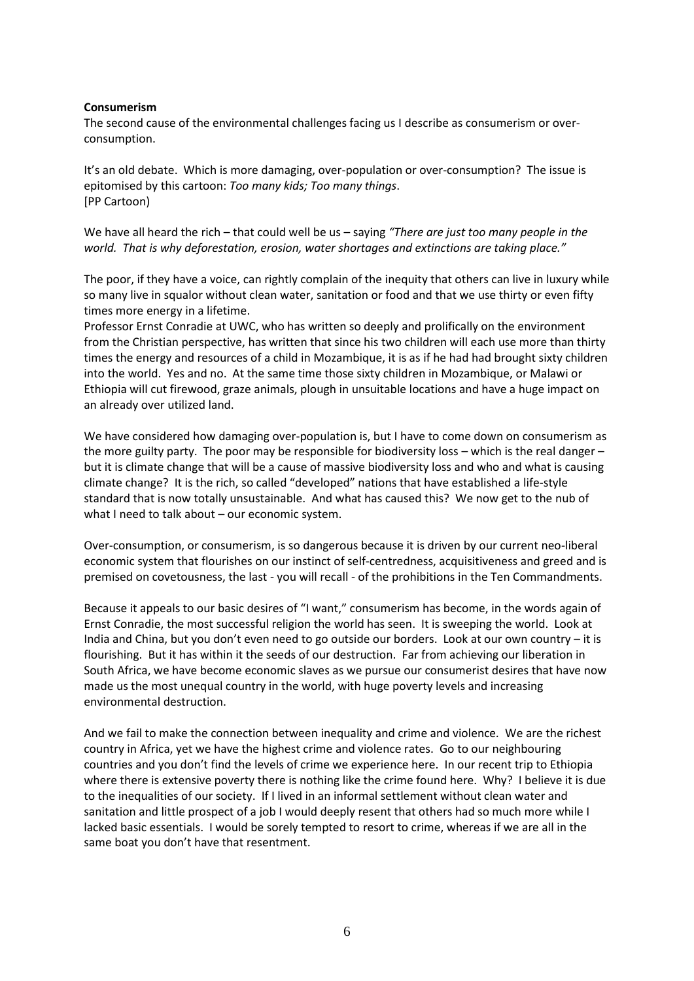## **Consumerism**

The second cause of the environmental challenges facing us I describe as consumerism or overconsumption.

It's an old debate. Which is more damaging, over-population or over-consumption? The issue is epitomised by this cartoon: *Too many kids; Too many things*. [PP Cartoon)

We have all heard the rich – that could well be us – saying *"There are just too many people in the world. That is why deforestation, erosion, water shortages and extinctions are taking place."*

The poor, if they have a voice, can rightly complain of the inequity that others can live in luxury while so many live in squalor without clean water, sanitation or food and that we use thirty or even fifty times more energy in a lifetime.

Professor Ernst Conradie at UWC, who has written so deeply and prolifically on the environment from the Christian perspective, has written that since his two children will each use more than thirty times the energy and resources of a child in Mozambique, it is as if he had had brought sixty children into the world. Yes and no. At the same time those sixty children in Mozambique, or Malawi or Ethiopia will cut firewood, graze animals, plough in unsuitable locations and have a huge impact on an already over utilized land.

We have considered how damaging over-population is, but I have to come down on consumerism as the more guilty party. The poor may be responsible for biodiversity loss – which is the real danger – but it is climate change that will be a cause of massive biodiversity loss and who and what is causing climate change? It is the rich, so called "developed" nations that have established a life-style standard that is now totally unsustainable. And what has caused this? We now get to the nub of what I need to talk about – our economic system.

Over-consumption, or consumerism, is so dangerous because it is driven by our current neo-liberal economic system that flourishes on our instinct of self-centredness, acquisitiveness and greed and is premised on covetousness, the last - you will recall - of the prohibitions in the Ten Commandments.

Because it appeals to our basic desires of "I want," consumerism has become, in the words again of Ernst Conradie, the most successful religion the world has seen. It is sweeping the world. Look at India and China, but you don't even need to go outside our borders. Look at our own country  $-$  it is flourishing. But it has within it the seeds of our destruction. Far from achieving our liberation in South Africa, we have become economic slaves as we pursue our consumerist desires that have now made us the most unequal country in the world, with huge poverty levels and increasing environmental destruction.

And we fail to make the connection between inequality and crime and violence*.* We are the richest country in Africa, yet we have the highest crime and violence rates. Go to our neighbouring countries and you don't find the levels of crime we experience here. In our recent trip to Ethiopia where there is extensive poverty there is nothing like the crime found here. Why? I believe it is due to the inequalities of our society. If I lived in an informal settlement without clean water and sanitation and little prospect of a job I would deeply resent that others had so much more while I lacked basic essentials. I would be sorely tempted to resort to crime, whereas if we are all in the same boat you don't have that resentment.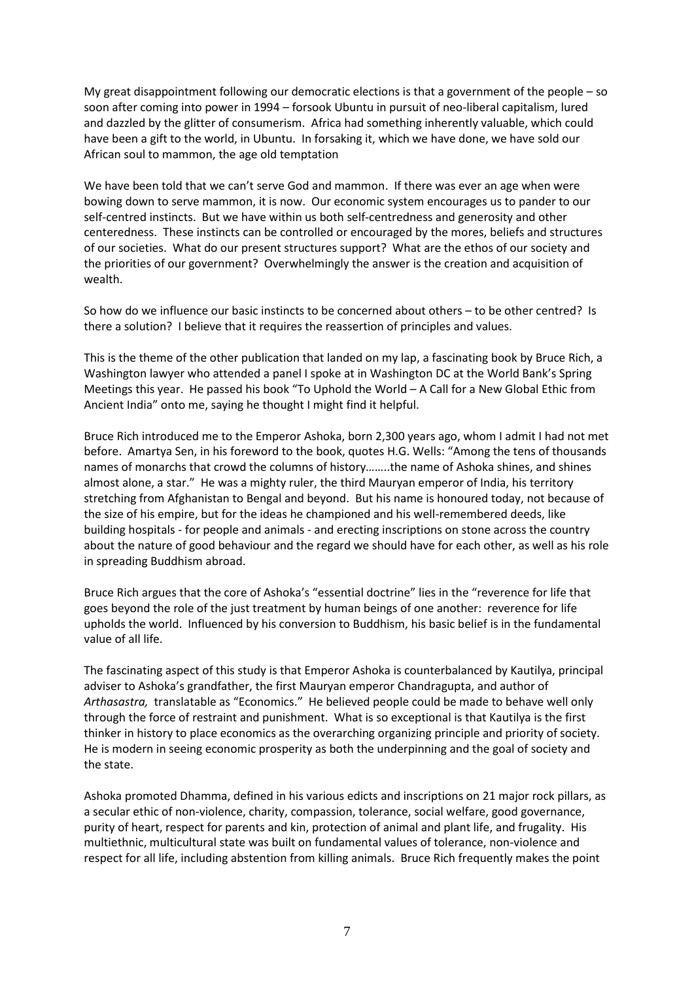My great disappointment following our democratic elections is that a government of the people – so soon after coming into power in 1994 – forsook Ubuntu in pursuit of neo-liberal capitalism, lured and dazzled by the glitter of consumerism. Africa had something inherently valuable, which could have been a gift to the world, in Ubuntu. In forsaking it, which we have done, we have sold our African soul to mammon, the age old temptation

We have been told that we can't serve God and mammon. If there was ever an age when were bowing down to serve mammon, it is now. Our economic system encourages us to pander to our self-centred instincts. But we have within us both self-centredness and generosity and other centeredness. These instincts can be controlled or encouraged by the mores, beliefs and structures of our societies. What do our present structures support? What are the ethos of our society and the priorities of our government? Overwhelmingly the answer is the creation and acquisition of wealth.

So how do we influence our basic instincts to be concerned about others – to be other centred? Is there a solution? I believe that it requires the reassertion of principles and values.

This is the theme of the other publication that landed on my lap, a fascinating book by Bruce Rich, a Washington lawyer who attended a panel I spoke at in Washington DC at the World Bank's Spring Meetings this year. He passed his book "To Uphold the World – A Call for a New Global Ethic from Ancient India" onto me, saying he thought I might find it helpful.

Bruce Rich introduced me to the Emperor Ashoka, born 2,300 years ago, whom I admit I had not met before. Amartya Sen, in his foreword to the book, quotes H.G. Wells: "Among the tens of thousands names of monarchs that crowd the columns of history……..the name of Ashoka shines, and shines almost alone, a star." He was a mighty ruler, the third Mauryan emperor of India, his territory stretching from Afghanistan to Bengal and beyond. But his name is honoured today, not because of the size of his empire, but for the ideas he championed and his well-remembered deeds, like building hospitals - for people and animals - and erecting inscriptions on stone across the country about the nature of good behaviour and the regard we should have for each other, as well as his role in spreading Buddhism abroad.

Bruce Rich argues that the core of Ashoka's "essential doctrine" lies in the "reverence for life that goes beyond the role of the just treatment by human beings of one another: reverence for life upholds the world. Influenced by his conversion to Buddhism, his basic belief is in the fundamental value of all life.

The fascinating aspect of this study is that Emperor Ashoka is counterbalanced by Kautilya, principal adviser to Ashoka's grandfather, the first Mauryan emperor Chandragupta, and author of *Arthasastra,* translatable as "Economics." He believed people could be made to behave well only through the force of restraint and punishment. What is so exceptional is that Kautilya is the first thinker in history to place economics as the overarching organizing principle and priority of society. He is modern in seeing economic prosperity as both the underpinning and the goal of society and the state.

Ashoka promoted Dhamma, defined in his various edicts and inscriptions on 21 major rock pillars, as a secular ethic of non-violence, charity, compassion, tolerance, social welfare, good governance, purity of heart, respect for parents and kin, protection of animal and plant life, and frugality. His multiethnic, multicultural state was built on fundamental values of tolerance, non-violence and respect for all life, including abstention from killing animals. Bruce Rich frequently makes the point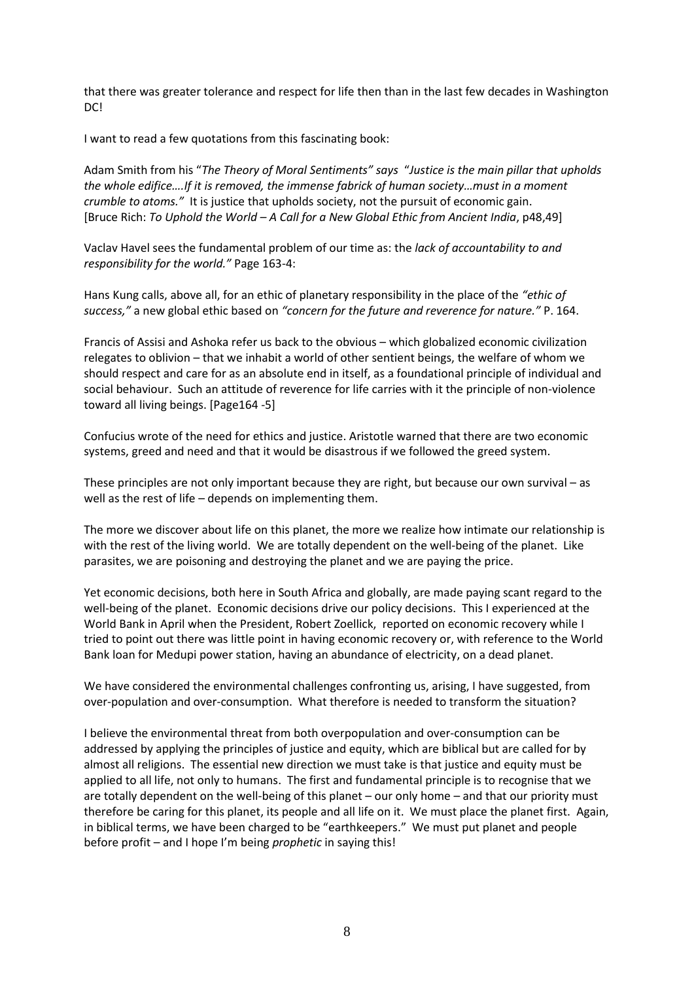that there was greater tolerance and respect for life then than in the last few decades in Washington DC!

I want to read a few quotations from this fascinating book:

Adam Smith from his "*The Theory of Moral Sentiments" says* "*Justice is the main pillar that upholds the whole edifice….If it is removed, the immense fabrick of human society…must in a moment crumble to atoms."* It is justice that upholds society, not the pursuit of economic gain. [Bruce Rich: *To Uphold the World – A Call for a New Global Ethic from Ancient India*, p48,49]

Vaclav Havel sees the fundamental problem of our time as: the *lack of accountability to and responsibility for the world."* Page 163-4:

Hans Kung calls, above all, for an ethic of planetary responsibility in the place of the *"ethic of success,"* a new global ethic based on *"concern for the future and reverence for nature."* P. 164.

Francis of Assisi and Ashoka refer us back to the obvious – which globalized economic civilization relegates to oblivion – that we inhabit a world of other sentient beings, the welfare of whom we should respect and care for as an absolute end in itself, as a foundational principle of individual and social behaviour. Such an attitude of reverence for life carries with it the principle of non-violence toward all living beings. [Page164 -5]

Confucius wrote of the need for ethics and justice. Aristotle warned that there are two economic systems, greed and need and that it would be disastrous if we followed the greed system.

These principles are not only important because they are right, but because our own survival – as well as the rest of life – depends on implementing them.

The more we discover about life on this planet, the more we realize how intimate our relationship is with the rest of the living world. We are totally dependent on the well-being of the planet. Like parasites, we are poisoning and destroying the planet and we are paying the price.

Yet economic decisions, both here in South Africa and globally, are made paying scant regard to the well-being of the planet. Economic decisions drive our policy decisions. This I experienced at the World Bank in April when the President, Robert Zoellick, reported on economic recovery while I tried to point out there was little point in having economic recovery or, with reference to the World Bank loan for Medupi power station, having an abundance of electricity, on a dead planet.

We have considered the environmental challenges confronting us, arising, I have suggested, from over-population and over-consumption. What therefore is needed to transform the situation?

I believe the environmental threat from both overpopulation and over-consumption can be addressed by applying the principles of justice and equity, which are biblical but are called for by almost all religions. The essential new direction we must take is that justice and equity must be applied to all life, not only to humans. The first and fundamental principle is to recognise that we are totally dependent on the well-being of this planet – our only home – and that our priority must therefore be caring for this planet, its people and all life on it. We must place the planet first. Again, in biblical terms, we have been charged to be "earthkeepers." We must put planet and people before profit – and I hope I'm being *prophetic* in saying this!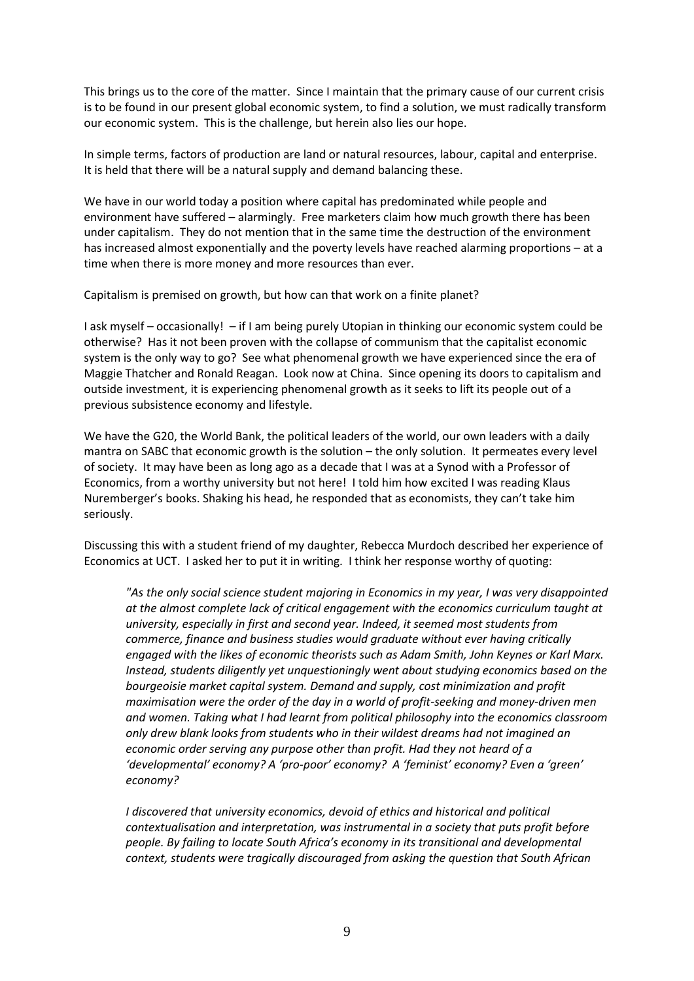This brings us to the core of the matter. Since I maintain that the primary cause of our current crisis is to be found in our present global economic system, to find a solution, we must radically transform our economic system. This is the challenge, but herein also lies our hope.

In simple terms, factors of production are land or natural resources, labour, capital and enterprise. It is held that there will be a natural supply and demand balancing these.

We have in our world today a position where capital has predominated while people and environment have suffered – alarmingly. Free marketers claim how much growth there has been under capitalism. They do not mention that in the same time the destruction of the environment has increased almost exponentially and the poverty levels have reached alarming proportions – at a time when there is more money and more resources than ever.

Capitalism is premised on growth, but how can that work on a finite planet?

I ask myself – occasionally! – if I am being purely Utopian in thinking our economic system could be otherwise? Has it not been proven with the collapse of communism that the capitalist economic system is the only way to go? See what phenomenal growth we have experienced since the era of Maggie Thatcher and Ronald Reagan. Look now at China. Since opening its doors to capitalism and outside investment, it is experiencing phenomenal growth as it seeks to lift its people out of a previous subsistence economy and lifestyle.

We have the G20, the World Bank, the political leaders of the world, our own leaders with a daily mantra on SABC that economic growth is the solution – the only solution. It permeates every level of society. It may have been as long ago as a decade that I was at a Synod with a Professor of Economics, from a worthy university but not here! I told him how excited I was reading Klaus Nuremberger's books. Shaking his head, he responded that as economists, they can't take him seriously.

Discussing this with a student friend of my daughter, Rebecca Murdoch described her experience of Economics at UCT. I asked her to put it in writing. I think her response worthy of quoting:

*"As the only social science student majoring in Economics in my year, I was very disappointed at the almost complete lack of critical engagement with the economics curriculum taught at university, especially in first and second year. Indeed, it seemed most students from commerce, finance and business studies would graduate without ever having critically engaged with the likes of economic theorists such as Adam Smith, John Keynes or Karl Marx. Instead, students diligently yet unquestioningly went about studying economics based on the bourgeoisie market capital system. Demand and supply, cost minimization and profit maximisation were the order of the day in a world of profit-seeking and money-driven men and women. Taking what I had learnt from political philosophy into the economics classroom only drew blank looks from students who in their wildest dreams had not imagined an economic order serving any purpose other than profit. Had they not heard of a 'developmental' economy? A 'pro-poor' economy? A 'feminist' economy? Even a 'green' economy?* 

*I discovered that university economics, devoid of ethics and historical and political contextualisation and interpretation, was instrumental in a society that puts profit before people. By failing to locate South Africa's economy in its transitional and developmental context, students were tragically discouraged from asking the question that South African*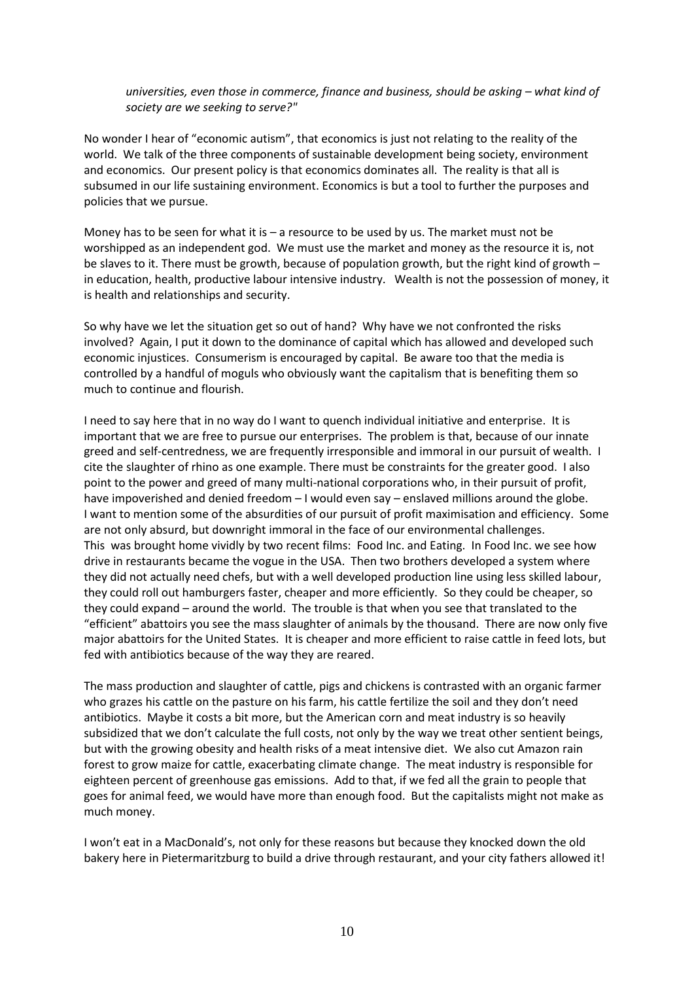*universities, even those in commerce, finance and business, should be asking – what kind of society are we seeking to serve?"*

No wonder I hear of "economic autism", that economics is just not relating to the reality of the world. We talk of the three components of sustainable development being society, environment and economics. Our present policy is that economics dominates all. The reality is that all is subsumed in our life sustaining environment. Economics is but a tool to further the purposes and policies that we pursue.

Money has to be seen for what it is – a resource to be used by us. The market must not be worshipped as an independent god. We must use the market and money as the resource it is, not be slaves to it. There must be growth, because of population growth, but the right kind of growth – in education, health, productive labour intensive industry. Wealth is not the possession of money, it is health and relationships and security.

So why have we let the situation get so out of hand? Why have we not confronted the risks involved? Again, I put it down to the dominance of capital which has allowed and developed such economic injustices. Consumerism is encouraged by capital. Be aware too that the media is controlled by a handful of moguls who obviously want the capitalism that is benefiting them so much to continue and flourish.

I need to say here that in no way do I want to quench individual initiative and enterprise. It is important that we are free to pursue our enterprises. The problem is that, because of our innate greed and self-centredness, we are frequently irresponsible and immoral in our pursuit of wealth. I cite the slaughter of rhino as one example. There must be constraints for the greater good. I also point to the power and greed of many multi-national corporations who, in their pursuit of profit, have impoverished and denied freedom – I would even say – enslaved millions around the globe. I want to mention some of the absurdities of our pursuit of profit maximisation and efficiency. Some are not only absurd, but downright immoral in the face of our environmental challenges. This was brought home vividly by two recent films: Food Inc. and Eating. In Food Inc. we see how drive in restaurants became the vogue in the USA. Then two brothers developed a system where they did not actually need chefs, but with a well developed production line using less skilled labour, they could roll out hamburgers faster, cheaper and more efficiently. So they could be cheaper, so they could expand – around the world. The trouble is that when you see that translated to the "efficient" abattoirs you see the mass slaughter of animals by the thousand. There are now only five major abattoirs for the United States. It is cheaper and more efficient to raise cattle in feed lots, but fed with antibiotics because of the way they are reared.

The mass production and slaughter of cattle, pigs and chickens is contrasted with an organic farmer who grazes his cattle on the pasture on his farm, his cattle fertilize the soil and they don't need antibiotics. Maybe it costs a bit more, but the American corn and meat industry is so heavily subsidized that we don't calculate the full costs, not only by the way we treat other sentient beings, but with the growing obesity and health risks of a meat intensive diet. We also cut Amazon rain forest to grow maize for cattle, exacerbating climate change. The meat industry is responsible for eighteen percent of greenhouse gas emissions. Add to that, if we fed all the grain to people that goes for animal feed, we would have more than enough food. But the capitalists might not make as much money.

I won't eat in a MacDonald's, not only for these reasons but because they knocked down the old bakery here in Pietermaritzburg to build a drive through restaurant, and your city fathers allowed it!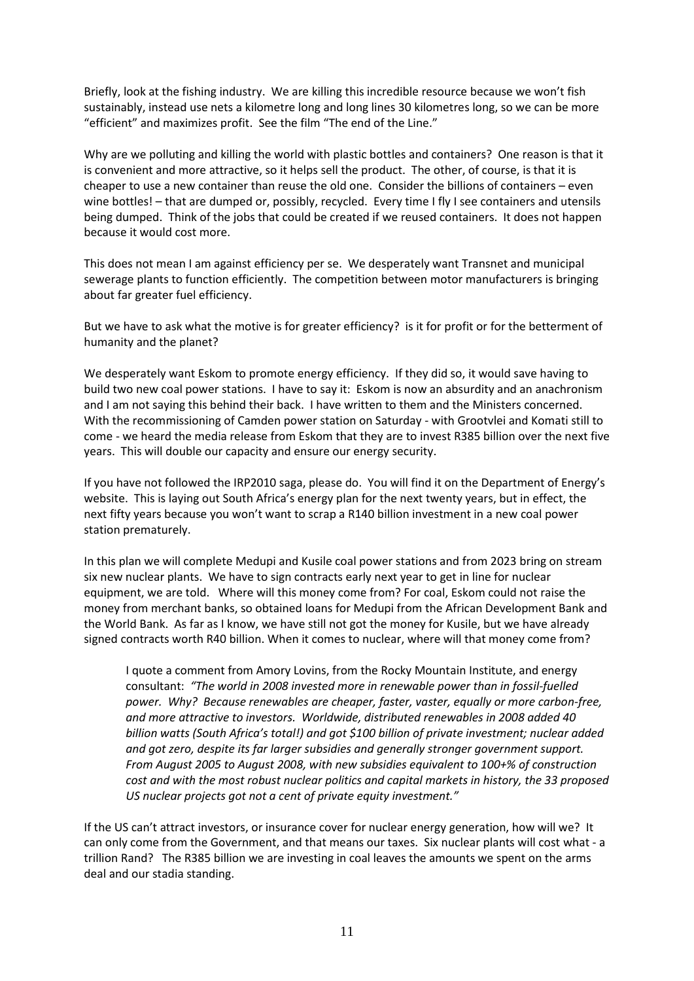Briefly, look at the fishing industry. We are killing this incredible resource because we won't fish sustainably, instead use nets a kilometre long and long lines 30 kilometres long, so we can be more "efficient" and maximizes profit. See the film "The end of the Line."

Why are we polluting and killing the world with plastic bottles and containers? One reason is that it is convenient and more attractive, so it helps sell the product. The other, of course, is that it is cheaper to use a new container than reuse the old one. Consider the billions of containers – even wine bottles! – that are dumped or, possibly, recycled. Every time I fly I see containers and utensils being dumped. Think of the jobs that could be created if we reused containers. It does not happen because it would cost more.

This does not mean I am against efficiency per se. We desperately want Transnet and municipal sewerage plants to function efficiently. The competition between motor manufacturers is bringing about far greater fuel efficiency.

But we have to ask what the motive is for greater efficiency? is it for profit or for the betterment of humanity and the planet?

We desperately want Eskom to promote energy efficiency. If they did so, it would save having to build two new coal power stations. I have to say it: Eskom is now an absurdity and an anachronism and I am not saying this behind their back. I have written to them and the Ministers concerned. With the recommissioning of Camden power station on Saturday - with Grootvlei and Komati still to come - we heard the media release from Eskom that they are to invest R385 billion over the next five years. This will double our capacity and ensure our energy security.

If you have not followed the IRP2010 saga, please do. You will find it on the Department of Energy's website. This is laying out South Africa's energy plan for the next twenty years, but in effect, the next fifty years because you won't want to scrap a R140 billion investment in a new coal power station prematurely.

In this plan we will complete Medupi and Kusile coal power stations and from 2023 bring on stream six new nuclear plants. We have to sign contracts early next year to get in line for nuclear equipment, we are told. Where will this money come from? For coal, Eskom could not raise the money from merchant banks, so obtained loans for Medupi from the African Development Bank and the World Bank. As far as I know, we have still not got the money for Kusile, but we have already signed contracts worth R40 billion. When it comes to nuclear, where will that money come from?

I quote a comment from Amory Lovins, from the Rocky Mountain Institute, and energy consultant: *"The world in 2008 invested more in renewable power than in fossil-fuelled power. Why? Because renewables are cheaper, faster, vaster, equally or more carbon-free, and more attractive to investors. Worldwide, distributed renewables in 2008 added 40 billion watts (South Africa's total!) and got \$100 billion of private investment; nuclear added and got zero, despite its far larger subsidies and generally stronger government support. From August 2005 to August 2008, with new subsidies equivalent to 100+% of construction cost and with the most robust nuclear politics and capital markets in history, the 33 proposed US nuclear projects got not a cent of private equity investment."*

If the US can't attract investors, or insurance cover for nuclear energy generation, how will we? It can only come from the Government, and that means our taxes. Six nuclear plants will cost what - a trillion Rand? The R385 billion we are investing in coal leaves the amounts we spent on the arms deal and our stadia standing.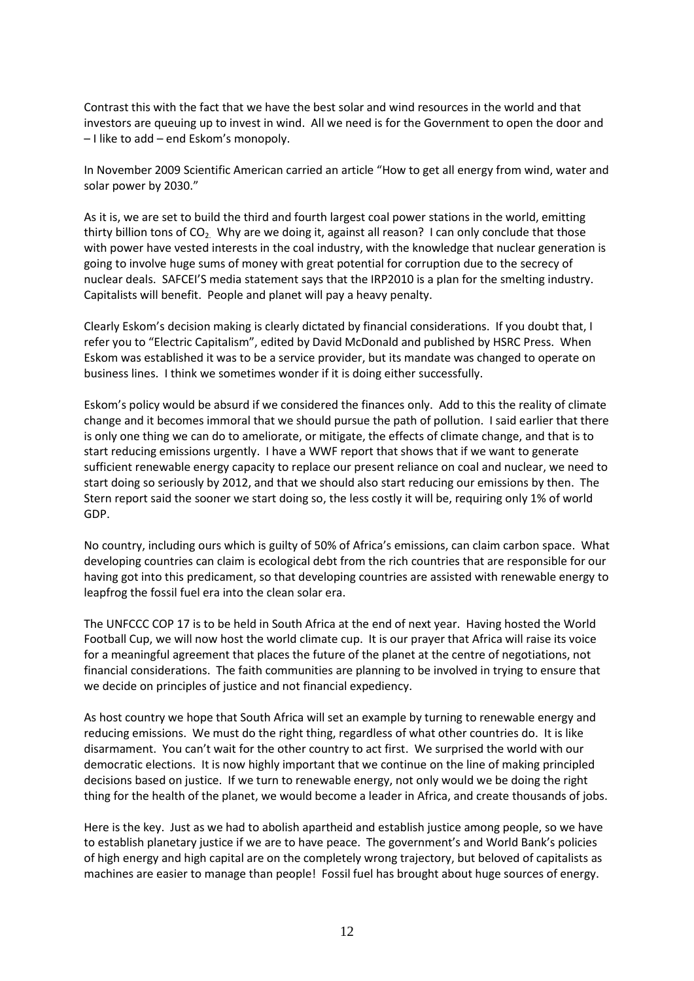Contrast this with the fact that we have the best solar and wind resources in the world and that investors are queuing up to invest in wind. All we need is for the Government to open the door and – I like to add – end Eskom's monopoly.

In November 2009 Scientific American carried an article "How to get all energy from wind, water and solar power by 2030."

As it is, we are set to build the third and fourth largest coal power stations in the world, emitting thirty billion tons of  $CO<sub>2</sub>$ . Why are we doing it, against all reason? I can only conclude that those with power have vested interests in the coal industry, with the knowledge that nuclear generation is going to involve huge sums of money with great potential for corruption due to the secrecy of nuclear deals. SAFCEI'S media statement says that the IRP2010 is a plan for the smelting industry. Capitalists will benefit. People and planet will pay a heavy penalty.

Clearly Eskom's decision making is clearly dictated by financial considerations. If you doubt that, I refer you to "Electric Capitalism", edited by David McDonald and published by HSRC Press. When Eskom was established it was to be a service provider, but its mandate was changed to operate on business lines. I think we sometimes wonder if it is doing either successfully.

Eskom's policy would be absurd if we considered the finances only. Add to this the reality of climate change and it becomes immoral that we should pursue the path of pollution. I said earlier that there is only one thing we can do to ameliorate, or mitigate, the effects of climate change, and that is to start reducing emissions urgently. I have a WWF report that shows that if we want to generate sufficient renewable energy capacity to replace our present reliance on coal and nuclear, we need to start doing so seriously by 2012, and that we should also start reducing our emissions by then. The Stern report said the sooner we start doing so, the less costly it will be, requiring only 1% of world GDP.

No country, including ours which is guilty of 50% of Africa's emissions, can claim carbon space. What developing countries can claim is ecological debt from the rich countries that are responsible for our having got into this predicament, so that developing countries are assisted with renewable energy to leapfrog the fossil fuel era into the clean solar era.

The UNFCCC COP 17 is to be held in South Africa at the end of next year. Having hosted the World Football Cup, we will now host the world climate cup. It is our prayer that Africa will raise its voice for a meaningful agreement that places the future of the planet at the centre of negotiations, not financial considerations. The faith communities are planning to be involved in trying to ensure that we decide on principles of justice and not financial expediency.

As host country we hope that South Africa will set an example by turning to renewable energy and reducing emissions. We must do the right thing, regardless of what other countries do. It is like disarmament. You can't wait for the other country to act first. We surprised the world with our democratic elections. It is now highly important that we continue on the line of making principled decisions based on justice. If we turn to renewable energy, not only would we be doing the right thing for the health of the planet, we would become a leader in Africa, and create thousands of jobs.

Here is the key. Just as we had to abolish apartheid and establish justice among people, so we have to establish planetary justice if we are to have peace. The government's and World Bank's policies of high energy and high capital are on the completely wrong trajectory, but beloved of capitalists as machines are easier to manage than people! Fossil fuel has brought about huge sources of energy.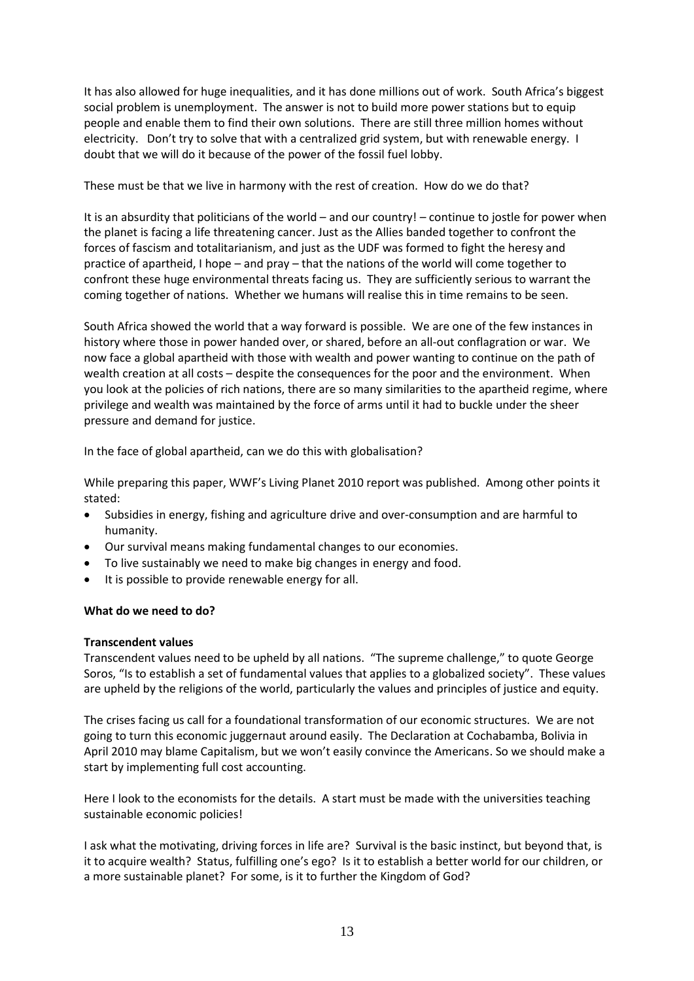It has also allowed for huge inequalities, and it has done millions out of work. South Africa's biggest social problem is unemployment. The answer is not to build more power stations but to equip people and enable them to find their own solutions. There are still three million homes without electricity. Don't try to solve that with a centralized grid system, but with renewable energy. I doubt that we will do it because of the power of the fossil fuel lobby.

These must be that we live in harmony with the rest of creation. How do we do that?

It is an absurdity that politicians of the world – and our country! – continue to jostle for power when the planet is facing a life threatening cancer. Just as the Allies banded together to confront the forces of fascism and totalitarianism, and just as the UDF was formed to fight the heresy and practice of apartheid, I hope – and pray – that the nations of the world will come together to confront these huge environmental threats facing us. They are sufficiently serious to warrant the coming together of nations. Whether we humans will realise this in time remains to be seen.

South Africa showed the world that a way forward is possible. We are one of the few instances in history where those in power handed over, or shared, before an all-out conflagration or war. We now face a global apartheid with those with wealth and power wanting to continue on the path of wealth creation at all costs – despite the consequences for the poor and the environment. When you look at the policies of rich nations, there are so many similarities to the apartheid regime, where privilege and wealth was maintained by the force of arms until it had to buckle under the sheer pressure and demand for justice.

In the face of global apartheid, can we do this with globalisation?

While preparing this paper, WWF's Living Planet 2010 report was published. Among other points it stated:

- Subsidies in energy, fishing and agriculture drive and over-consumption and are harmful to humanity.
- Our survival means making fundamental changes to our economies.
- To live sustainably we need to make big changes in energy and food.
- It is possible to provide renewable energy for all.

# **What do we need to do?**

# **Transcendent values**

Transcendent values need to be upheld by all nations. "The supreme challenge," to quote George Soros, "Is to establish a set of fundamental values that applies to a globalized society". These values are upheld by the religions of the world, particularly the values and principles of justice and equity.

The crises facing us call for a foundational transformation of our economic structures. We are not going to turn this economic juggernaut around easily. The Declaration at Cochabamba, Bolivia in April 2010 may blame Capitalism, but we won't easily convince the Americans. So we should make a start by implementing full cost accounting.

Here I look to the economists for the details. A start must be made with the universities teaching sustainable economic policies!

I ask what the motivating, driving forces in life are? Survival is the basic instinct, but beyond that, is it to acquire wealth? Status, fulfilling one's ego? Is it to establish a better world for our children, or a more sustainable planet? For some, is it to further the Kingdom of God?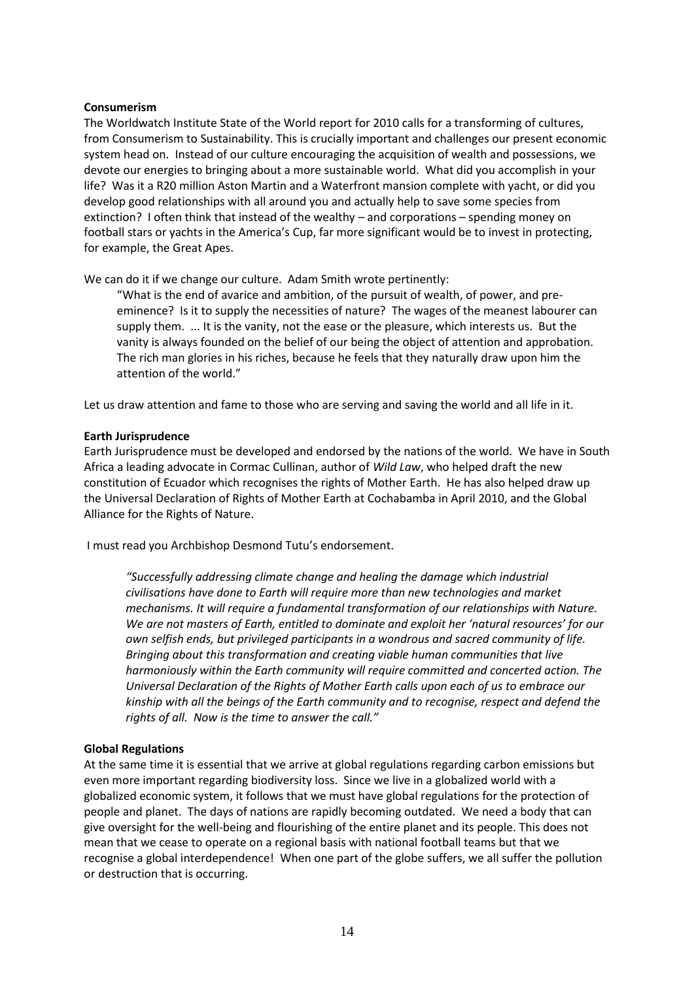## **Consumerism**

The Worldwatch Institute State of the World report for 2010 calls for a transforming of cultures, from Consumerism to Sustainability. This is crucially important and challenges our present economic system head on. Instead of our culture encouraging the acquisition of wealth and possessions, we devote our energies to bringing about a more sustainable world. What did you accomplish in your life? Was it a R20 million Aston Martin and a Waterfront mansion complete with yacht, or did you develop good relationships with all around you and actually help to save some species from extinction? I often think that instead of the wealthy – and corporations – spending money on football stars or yachts in the America's Cup, far more significant would be to invest in protecting, for example, the Great Apes.

We can do it if we change our culture. Adam Smith wrote pertinently:

"What is the end of avarice and ambition, of the pursuit of wealth, of power, and preeminence? Is it to supply the necessities of nature? The wages of the meanest labourer can supply them. ... It is the vanity, not the ease or the pleasure, which interests us. But the vanity is always founded on the belief of our being the object of attention and approbation. The rich man glories in his riches, because he feels that they naturally draw upon him the attention of the world."

Let us draw attention and fame to those who are serving and saving the world and all life in it.

#### **Earth Jurisprudence**

Earth Jurisprudence must be developed and endorsed by the nations of the world. We have in South Africa a leading advocate in Cormac Cullinan, author of *Wild Law*, who helped draft the new constitution of Ecuador which recognises the rights of Mother Earth. He has also helped draw up the Universal Declaration of Rights of Mother Earth at Cochabamba in April 2010, and the Global Alliance for the Rights of Nature.

I must read you Archbishop Desmond Tutu's endorsement.

*"Successfully addressing climate change and healing the damage which industrial civilisations have done to Earth will require more than new technologies and market mechanisms. It will require a fundamental transformation of our relationships with Nature. We are not masters of Earth, entitled to dominate and exploit her 'natural resources' for our own selfish ends, but privileged participants in a wondrous and sacred community of life. Bringing about this transformation and creating viable human communities that live harmoniously within the Earth community will require committed and concerted action. The Universal Declaration of the Rights of Mother Earth calls upon each of us to embrace our kinship with all the beings of the Earth community and to recognise, respect and defend the rights of all. Now is the time to answer the call."*

# **Global Regulations**

At the same time it is essential that we arrive at global regulations regarding carbon emissions but even more important regarding biodiversity loss. Since we live in a globalized world with a globalized economic system, it follows that we must have global regulations for the protection of people and planet. The days of nations are rapidly becoming outdated. We need a body that can give oversight for the well-being and flourishing of the entire planet and its people. This does not mean that we cease to operate on a regional basis with national football teams but that we recognise a global interdependence! When one part of the globe suffers, we all suffer the pollution or destruction that is occurring.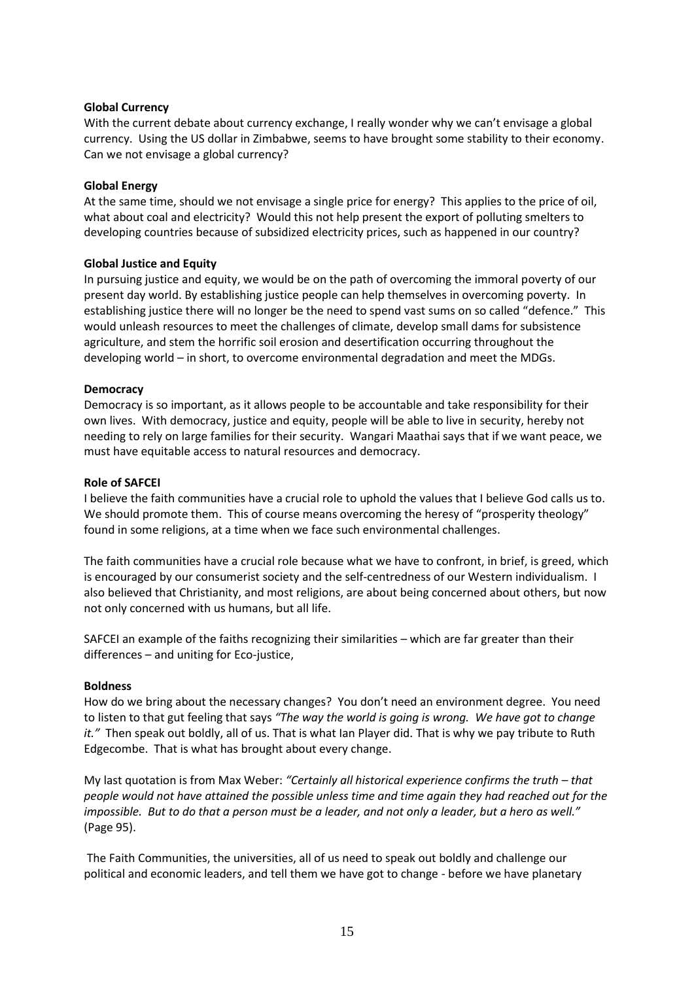# **Global Currency**

With the current debate about currency exchange, I really wonder why we can't envisage a global currency. Using the US dollar in Zimbabwe, seems to have brought some stability to their economy. Can we not envisage a global currency?

#### **Global Energy**

At the same time, should we not envisage a single price for energy? This applies to the price of oil, what about coal and electricity? Would this not help present the export of polluting smelters to developing countries because of subsidized electricity prices, such as happened in our country?

#### **Global Justice and Equity**

In pursuing justice and equity, we would be on the path of overcoming the immoral poverty of our present day world. By establishing justice people can help themselves in overcoming poverty. In establishing justice there will no longer be the need to spend vast sums on so called "defence." This would unleash resources to meet the challenges of climate, develop small dams for subsistence agriculture, and stem the horrific soil erosion and desertification occurring throughout the developing world – in short, to overcome environmental degradation and meet the MDGs.

#### **Democracy**

Democracy is so important, as it allows people to be accountable and take responsibility for their own lives. With democracy, justice and equity, people will be able to live in security, hereby not needing to rely on large families for their security. Wangari Maathai says that if we want peace, we must have equitable access to natural resources and democracy.

#### **Role of SAFCEI**

I believe the faith communities have a crucial role to uphold the values that I believe God calls us to. We should promote them. This of course means overcoming the heresy of "prosperity theology" found in some religions, at a time when we face such environmental challenges.

The faith communities have a crucial role because what we have to confront, in brief, is greed, which is encouraged by our consumerist society and the self-centredness of our Western individualism. I also believed that Christianity, and most religions, are about being concerned about others, but now not only concerned with us humans, but all life.

SAFCEI an example of the faiths recognizing their similarities – which are far greater than their differences – and uniting for Eco-justice,

#### **Boldness**

How do we bring about the necessary changes? You don't need an environment degree. You need to listen to that gut feeling that says *"The way the world is going is wrong. We have got to change it."* Then speak out boldly, all of us. That is what Ian Player did. That is why we pay tribute to Ruth Edgecombe. That is what has brought about every change.

My last quotation is from Max Weber: "Certainly all historical experience confirms the truth – that *people would not have attained the possible unless time and time again they had reached out for the impossible. But to do that a person must be a leader, and not only a leader, but a hero as well."* (Page 95).

 The Faith Communities, the universities, all of us need to speak out boldly and challenge our political and economic leaders, and tell them we have got to change - before we have planetary